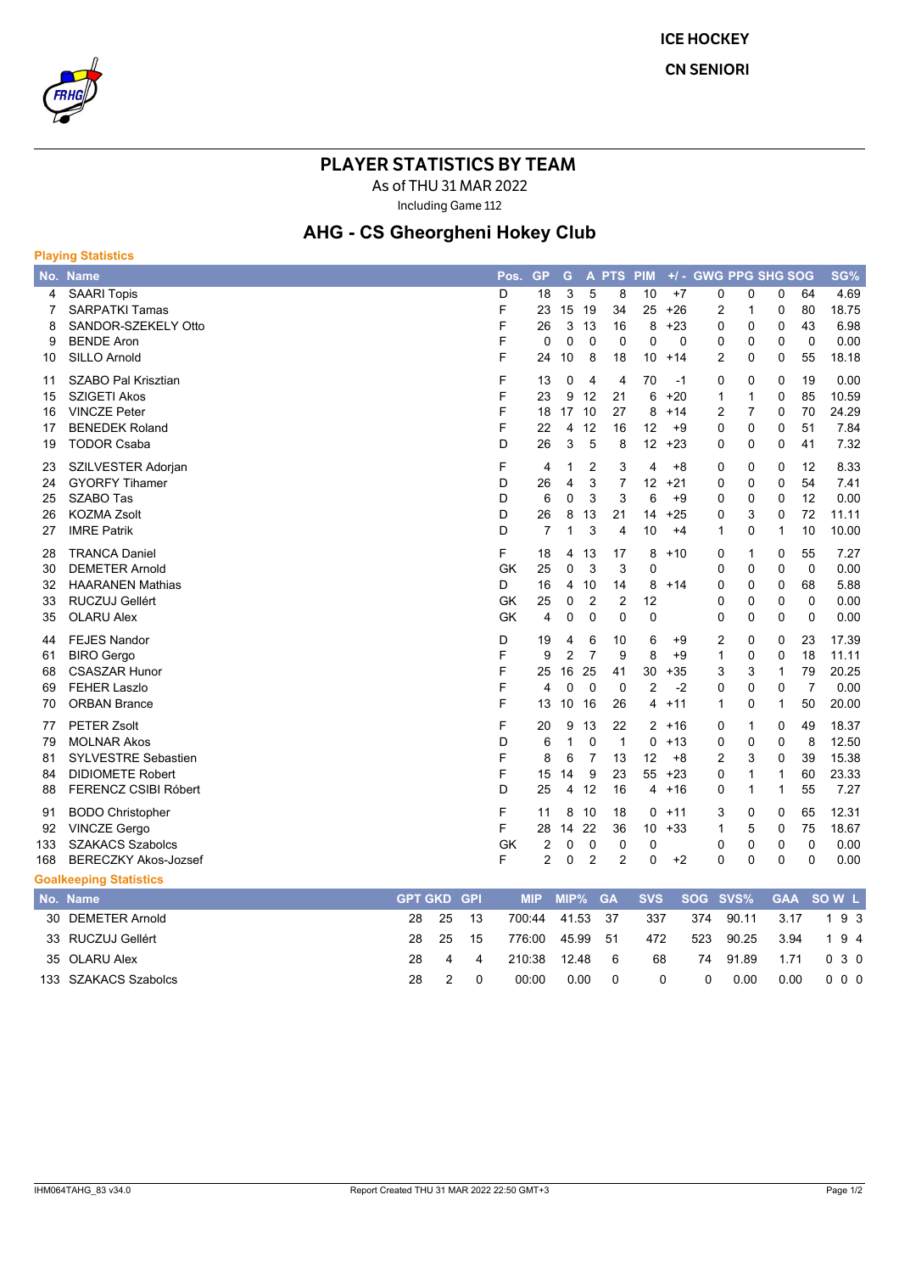

**ICE HOCKEY** 

**CN SENIORI** 

## **PLAYER STATISTICS BY TEAM**

As of THU 31 MAR 2022

Including Game 112

## **AHG - CS Gheorgheni Hokey Club**

| <b>Playing Statistics</b>  |                                                                                                                                           |             |  |                                        |                                      |                                                 |                                                |                                      |                                             |                                             |                                             |                                               |                                                              |                                                       |                                          |
|----------------------------|-------------------------------------------------------------------------------------------------------------------------------------------|-------------|--|----------------------------------------|--------------------------------------|-------------------------------------------------|------------------------------------------------|--------------------------------------|---------------------------------------------|---------------------------------------------|---------------------------------------------|-----------------------------------------------|--------------------------------------------------------------|-------------------------------------------------------|------------------------------------------|
|                            | No. Name                                                                                                                                  |             |  | Pos.                                   | <b>GP</b>                            | G                                               |                                                | A PTS PIM                            |                                             |                                             | +/- GWG PPG SHG SOG                         |                                               |                                                              |                                                       | SG%                                      |
| 4<br>7<br>8<br>9<br>10     | <b>SAARI Topis</b><br><b>SARPATKI Tamas</b><br>SANDOR-SZEKELY Otto<br><b>BENDE Aron</b><br><b>SILLO Arnold</b>                            |             |  | D<br>F<br>F<br>F<br>F                  | 18<br>23<br>26<br>$\Omega$<br>24     | 3<br>15<br>3<br>$\Omega$<br>10                  | 5<br>19<br>13<br>$\Omega$<br>8                 | 8<br>34<br>16<br>$\Omega$<br>18      | 10<br>25<br>8<br>$\Omega$<br>10             | $+7$<br>$+26$<br>$+23$<br>$\Omega$<br>$+14$ | 0<br>2<br>0<br>0<br>$\overline{2}$          | 0<br>$\mathbf{1}$<br>0<br>0<br>0              | 0<br>0<br>0<br>0<br>$\Omega$                                 | 64<br>80<br>43<br>$\Omega$<br>55                      | 4.69<br>18.75<br>6.98<br>0.00<br>18.18   |
| 11<br>15<br>16<br>17<br>19 | SZABO Pal Krisztian<br><b>SZIGETI Akos</b><br><b>VINCZE Peter</b><br><b>BENEDEK Roland</b><br><b>TODOR Csaba</b>                          |             |  | F<br>F<br>F<br>F<br>D                  | 13<br>23<br>18<br>22<br>26           | 0<br>9<br>17<br>4<br>3                          | 4<br>12<br>10<br>12<br>5                       | 4<br>21<br>27<br>16<br>8             | 70<br>6<br>8<br>12<br>12                    | -1<br>$+20$<br>$+14$<br>$+9$<br>$+23$       | 0<br>$\mathbf{1}$<br>2<br>0<br>0            | 0<br>$\mathbf{1}$<br>$\overline{7}$<br>0<br>0 | 0<br>0<br>$\Omega$<br>0<br>$\Omega$                          | 19<br>85<br>70<br>51<br>41                            | 0.00<br>10.59<br>24.29<br>7.84<br>7.32   |
| 23<br>24<br>25<br>26<br>27 | SZILVESTER Adorjan<br><b>GYORFY Tihamer</b><br><b>SZABO Tas</b><br><b>KOZMA Zsolt</b><br><b>IMRE Patrik</b>                               |             |  | F<br>D<br>D<br>D<br>D                  | 4<br>26<br>6<br>26<br>$\overline{7}$ | 1<br>4<br>0<br>8<br>1                           | 2<br>3<br>3<br>13<br>3                         | 3<br>$\overline{7}$<br>3<br>21<br>4  | 4<br>12<br>6<br>14<br>10                    | $+8$<br>$+21$<br>$+9$<br>$+25$<br>$+4$      | 0<br>0<br>0<br>0<br>1                       | $\Omega$<br>0<br>0<br>3<br>0                  | 0<br>0<br>0<br>$\Omega$<br>1                                 | 12<br>54<br>12<br>72<br>10                            | 8.33<br>7.41<br>0.00<br>11.11<br>10.00   |
| 28<br>30<br>32<br>33<br>35 | <b>TRANCA Daniel</b><br><b>DEMETER Arnold</b><br><b>HAARANEN Mathias</b><br>RUCZUJ Gellért<br><b>OLARU Alex</b>                           |             |  | F<br><b>GK</b><br>D<br>GK<br><b>GK</b> | 18<br>25<br>16<br>25<br>4            | 4<br>0<br>4<br>0<br>0                           | 13<br>3<br>10<br>$\overline{2}$<br>$\mathbf 0$ | 17<br>3<br>14<br>$\overline{2}$<br>0 | 8<br>0<br>8<br>12<br>0                      | $+10$<br>$+14$                              | 0<br>0<br>0<br>0<br>0                       | 1<br>0<br>0<br>0<br>0                         | 0<br>0<br>0<br>0<br>0                                        | 55<br>$\mathbf 0$<br>68<br>$\mathbf 0$<br>$\mathbf 0$ | 7.27<br>0.00<br>5.88<br>0.00<br>0.00     |
| 44<br>61<br>68<br>69<br>70 | <b>FEJES Nandor</b><br><b>BIRO</b> Gergo<br><b>CSASZAR Hunor</b><br><b>FEHER Laszlo</b><br><b>ORBAN Brance</b>                            |             |  | D<br>F<br>F<br>F<br>F                  | 19<br>9<br>25<br>4<br>13             | 4<br>$\overline{2}$<br>16<br>$\mathbf{0}$<br>10 | 6<br>$\overline{7}$<br>25<br>$\Omega$<br>16    | 10<br>9<br>41<br>$\Omega$<br>26      | 6<br>8<br>30<br>$\overline{2}$<br>4         | $+9$<br>$+9$<br>$+35$<br>$-2$<br>$+11$      | 2<br>$\mathbf{1}$<br>3<br>0<br>$\mathbf{1}$ | 0<br>0<br>3<br>0<br>0                         | 0<br>$\mathbf 0$<br>$\mathbf{1}$<br>$\Omega$<br>$\mathbf{1}$ | 23<br>18<br>79<br>$\overline{7}$<br>50                | 17.39<br>11.11<br>20.25<br>0.00<br>20.00 |
| 77<br>79<br>81<br>84<br>88 | <b>PETER Zsolt</b><br><b>MOLNAR Akos</b><br><b>SYLVESTRE Sebastien</b><br><b>DIDIOMETE Robert</b><br>FERENCZ CSIBI Róbert                 |             |  | F<br>D<br>F<br>F<br>D                  | 20<br>6<br>8<br>15<br>25             | 9<br>1<br>6<br>14<br>4                          | 13<br>$\mathbf 0$<br>$\overline{7}$<br>9<br>12 | 22<br>$\mathbf{1}$<br>13<br>23<br>16 | $\overline{2}$<br>$\Omega$<br>12<br>55<br>4 | $+16$<br>$+13$<br>$+8$<br>$+23$<br>$+16$    | 0<br>0<br>2<br>0<br>0                       | $\mathbf{1}$<br>0<br>3<br>1<br>1              | 0<br>0<br>$\Omega$<br>$\mathbf{1}$<br>1                      | 49<br>8<br>39<br>60<br>55                             | 18.37<br>12.50<br>15.38<br>23.33<br>7.27 |
| 91<br>92<br>133<br>168     | <b>BODO Christopher</b><br><b>VINCZE Gergo</b><br><b>SZAKACS Szabolcs</b><br><b>BERECZKY Akos-Jozsef</b><br><b>Goalkeeping Statistics</b> |             |  | F<br>F<br><b>GK</b><br>F               | 11<br>28<br>2<br>$\overline{2}$      | 8<br>14<br>0<br>$\Omega$                        | 10<br>22<br>$\mathbf 0$<br>$\overline{2}$      | 18<br>36<br>0<br>2                   | $\Omega$<br>10<br>0<br>0                    | $+11$<br>$+33$<br>$+2$                      | 3<br>1<br>0<br>0                            | 0<br>5<br>0<br>0                              | $\Omega$<br>$\Omega$<br>0<br>0                               | 65<br>75<br>$\mathbf 0$<br>0                          | 12.31<br>18.67<br>0.00<br>0.00           |
|                            | No. Nome                                                                                                                                  | CDT CKD CDL |  |                                        | $MID$ $MID0/CA$                      |                                                 |                                                |                                      | <b>CVC</b>                                  |                                             | COC CVCV                                    |                                               |                                                              |                                                       | CAA COMIL                                |

| No. Name             | GPT GKD GPL |       |                |                 |                 |          |                |      | MIP MIP% GA SVS SOG SVS% GAA SOW L |
|----------------------|-------------|-------|----------------|-----------------|-----------------|----------|----------------|------|------------------------------------|
| 30 DEMETER Arnold    |             | 28 25 | - 13           | 700:44 41.53 37 |                 | - 337    |                |      | 374 90.11 3.17 193                 |
| 33 RUCZUJ Gellért    |             | 28 25 | - 15           | 776:00 45.99 51 |                 | 472      |                |      | 523 90.25 3.94 194                 |
| 35 OLARU Alex        |             | 28 4  | $\overline{4}$ | 210.38 12.48 6  |                 | 68       |                |      | 74 91.89 1.71 0 3 0                |
| 133 SZAKACS Szabolcs | 28.         |       |                | 00:00           | $0.00 \qquad 0$ | $\Omega$ | $\overline{0}$ | 0.00 | 0.00 0 0 0                         |